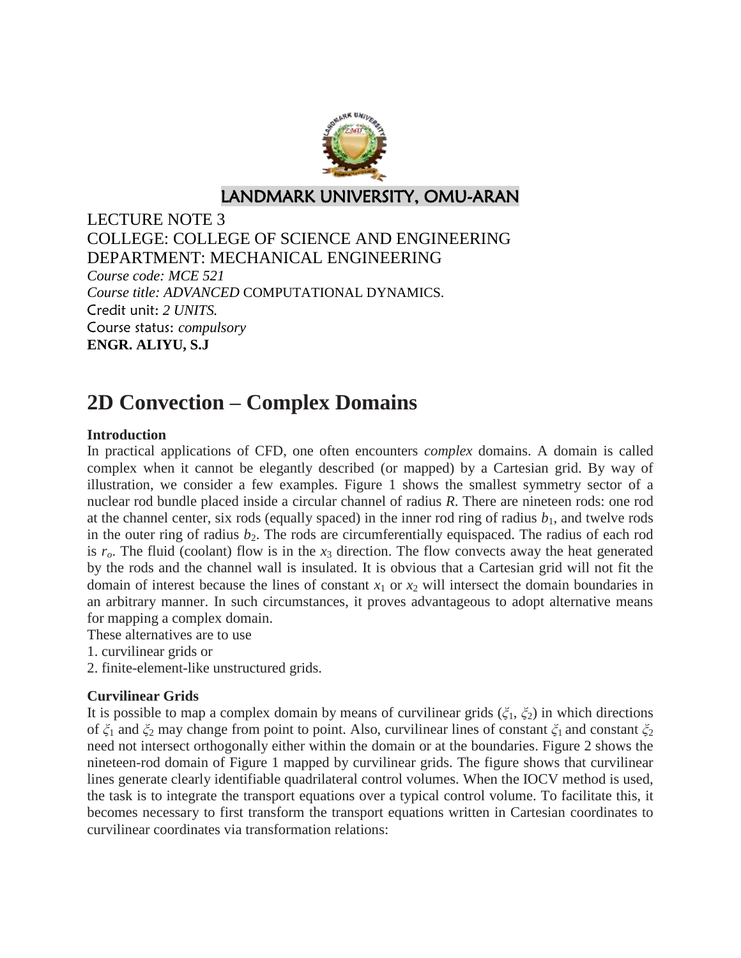

LANDMARK UNIVERSITY, OMU-ARAN

LECTURE NOTE 3 COLLEGE: COLLEGE OF SCIENCE AND ENGINEERING DEPARTMENT: MECHANICAL ENGINEERING *Course code: MCE 521 Course title: ADVANCED* COMPUTATIONAL DYNAMICS. Credit unit: *2 UNITS.* Course status: *compulsory* **ENGR. ALIYU, S.J**

# **2D Convection – Complex Domains**

## **Introduction**

In practical applications of CFD, one often encounters *complex* domains. A domain is called complex when it cannot be elegantly described (or mapped) by a Cartesian grid. By way of illustration, we consider a few examples. Figure 1 shows the smallest symmetry sector of a nuclear rod bundle placed inside a circular channel of radius *R*. There are nineteen rods: one rod at the channel center, six rods (equally spaced) in the inner rod ring of radius  $b<sub>1</sub>$ , and twelve rods in the outer ring of radius  $b_2$ . The rods are circumferentially equispaced. The radius of each rod is  $r<sub>o</sub>$ . The fluid (coolant) flow is in the  $x<sub>3</sub>$  direction. The flow convects away the heat generated by the rods and the channel wall is insulated. It is obvious that a Cartesian grid will not fit the domain of interest because the lines of constant  $x_1$  or  $x_2$  will intersect the domain boundaries in an arbitrary manner. In such circumstances, it proves advantageous to adopt alternative means for mapping a complex domain.

These alternatives are to use

- 1. curvilinear grids or
- 2. finite-element-like unstructured grids.

### **Curvilinear Grids**

It is possible to map a complex domain by means of curvilinear grids  $(\xi_1, \xi_2)$  in which directions of *ξ*<sup>1</sup> and *ξ*<sup>2</sup> may change from point to point. Also, curvilinear lines of constant *ξ*1 and constant *ξ*<sup>2</sup> need not intersect orthogonally either within the domain or at the boundaries. Figure 2 shows the nineteen-rod domain of Figure 1 mapped by curvilinear grids. The figure shows that curvilinear lines generate clearly identifiable quadrilateral control volumes. When the IOCV method is used, the task is to integrate the transport equations over a typical control volume. To facilitate this, it becomes necessary to first transform the transport equations written in Cartesian coordinates to curvilinear coordinates via transformation relations: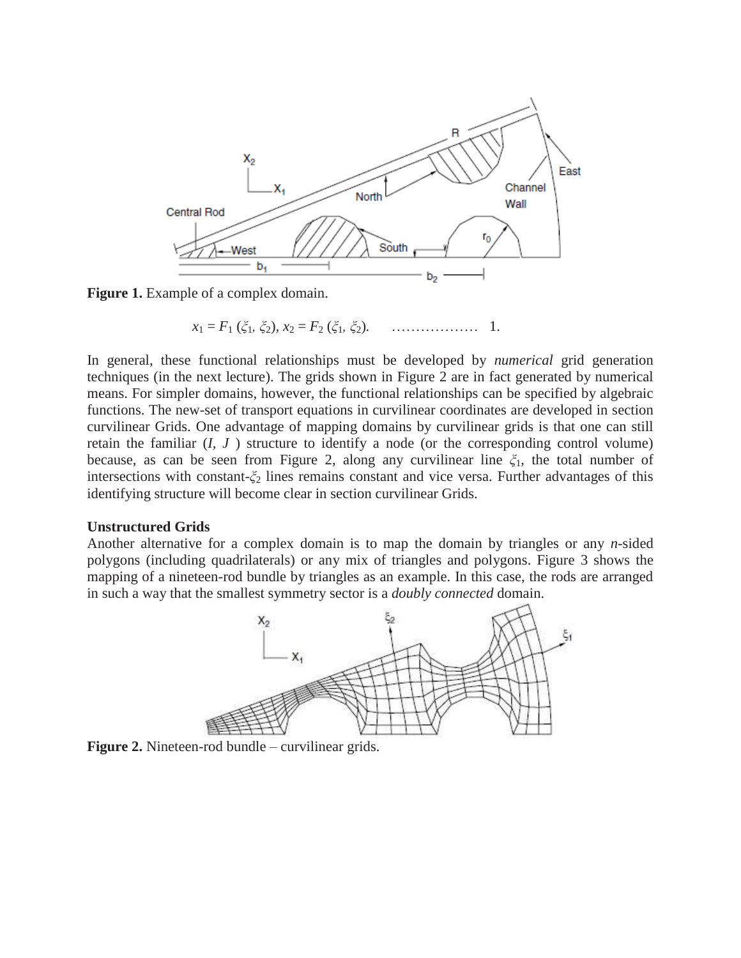

**Figure 1.** Example of a complex domain.

 *x*<sup>1</sup> = *F*<sup>1</sup> (*ξ*1*, ξ*2)*, x*<sup>2</sup> = *F*<sup>2</sup> (*ξ*1*, ξ*2)*.* ……………… 1.

In general, these functional relationships must be developed by *numerical* grid generation techniques (in the next lecture). The grids shown in Figure 2 are in fact generated by numerical means. For simpler domains, however, the functional relationships can be specified by algebraic functions. The new-set of transport equations in curvilinear coordinates are developed in section curvilinear Grids. One advantage of mapping domains by curvilinear grids is that one can still retain the familiar (*I, J* ) structure to identify a node (or the corresponding control volume) because, as can be seen from Figure 2, along any curvilinear line *ξ*1, the total number of intersections with constant-*ξ*<sup>2</sup> lines remains constant and vice versa. Further advantages of this identifying structure will become clear in section curvilinear Grids.

#### **Unstructured Grids**

Another alternative for a complex domain is to map the domain by triangles or any *n*-sided polygons (including quadrilaterals) or any mix of triangles and polygons. Figure 3 shows the mapping of a nineteen-rod bundle by triangles as an example. In this case, the rods are arranged in such a way that the smallest symmetry sector is a *doubly connected* domain.



**Figure 2.** Nineteen-rod bundle – curvilinear grids.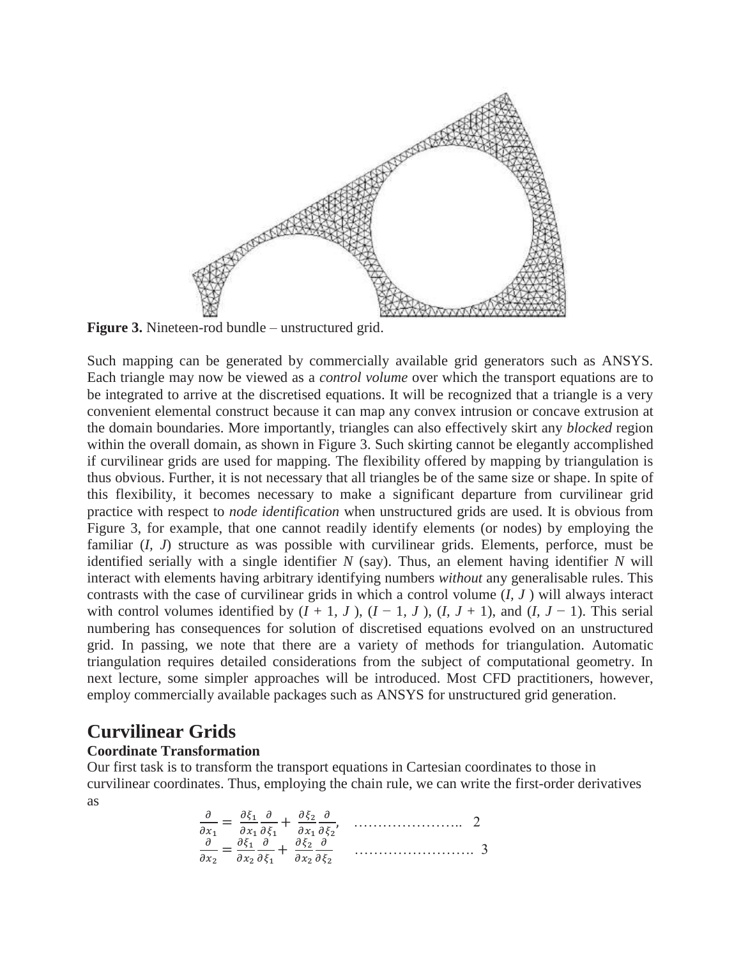

**Figure 3.** Nineteen-rod bundle – unstructured grid.

Such mapping can be generated by commercially available grid generators such as ANSYS. Each triangle may now be viewed as a *control volume* over which the transport equations are to be integrated to arrive at the discretised equations. It will be recognized that a triangle is a very convenient elemental construct because it can map any convex intrusion or concave extrusion at the domain boundaries. More importantly, triangles can also effectively skirt any *blocked* region within the overall domain, as shown in Figure 3. Such skirting cannot be elegantly accomplished if curvilinear grids are used for mapping. The flexibility offered by mapping by triangulation is thus obvious. Further, it is not necessary that all triangles be of the same size or shape. In spite of this flexibility, it becomes necessary to make a significant departure from curvilinear grid practice with respect to *node identification* when unstructured grids are used. It is obvious from Figure 3, for example, that one cannot readily identify elements (or nodes) by employing the familiar (*I, J*) structure as was possible with curvilinear grids. Elements, perforce, must be identified serially with a single identifier *N* (say). Thus, an element having identifier *N* will interact with elements having arbitrary identifying numbers *without* any generalisable rules. This contrasts with the case of curvilinear grids in which a control volume (*I, J* ) will always interact with control volumes identified by  $(I + 1, J)$ ,  $(I - 1, J)$ ,  $(I, J + 1)$ , and  $(I, J - 1)$ . This serial numbering has consequences for solution of discretised equations evolved on an unstructured grid. In passing, we note that there are a variety of methods for triangulation. Automatic triangulation requires detailed considerations from the subject of computational geometry. In next lecture, some simpler approaches will be introduced. Most CFD practitioners, however, employ commercially available packages such as ANSYS for unstructured grid generation.

# **Curvilinear Grids**

#### **Coordinate Transformation**

Our first task is to transform the transport equations in Cartesian coordinates to those in curvilinear coordinates. Thus, employing the chain rule, we can write the first-order derivatives as

 ………………….. 2 ……………………. 3